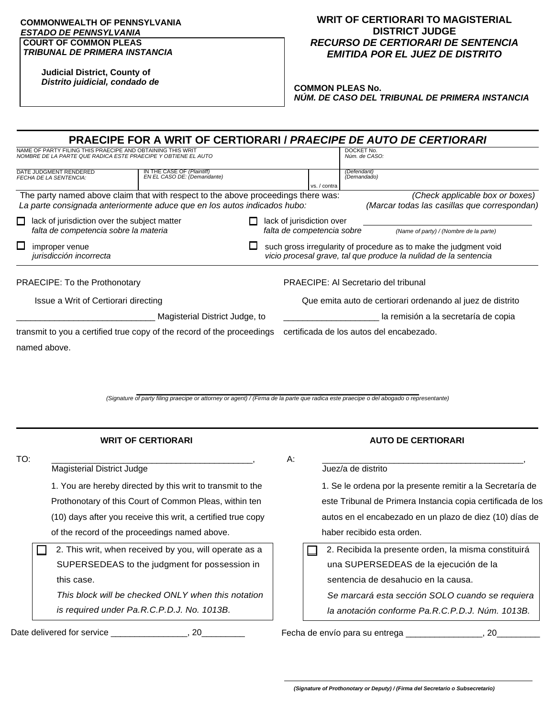## **COMMONWEALTH OF PENNSYLVANIA**  *ESTADO DE PENNSYLVANIA* **COURT OF COMMON PLEAS** *TRIBUNAL DE PRIMERA INSTANCIA*

**Judicial District, County of** *Distrito juidicial, condado de*

## **WRIT OF CERTIORARI TO MAGISTERIAL DISTRICT JUDGE** *RECURSO DE CERTIORARI DE SENTENCIA EMITIDA POR EL JUEZ DE DISTRITO*

**COMMON PLEAS No.** *NÚM. DE CASO DEL TRIBUNAL DE PRIMERA INSTANCIA*

|                                                                                                                                                               |                                                           |  |                                                            |                                                                                                   |                             | <b>PRAECIPE FOR A WRIT OF CERTIORARI / PRAECIPE DE AUTO DE CERTIORARI</b>                                                             |  |  |
|---------------------------------------------------------------------------------------------------------------------------------------------------------------|-----------------------------------------------------------|--|------------------------------------------------------------|---------------------------------------------------------------------------------------------------|-----------------------------|---------------------------------------------------------------------------------------------------------------------------------------|--|--|
| NAME OF PARTY FILING THIS PRAECIPE AND OBTAINING THIS WRIT<br>NOMBRE DE LA PARTE QUE RADICA ESTE PRAECIPE Y OBTIENE EL AUTO                                   |                                                           |  |                                                            |                                                                                                   | DOCKET No.<br>Núm. de CASO: |                                                                                                                                       |  |  |
| DATE JUDGMENT RENDERED<br><b>FECHA DE LA SENTENCIA:</b>                                                                                                       | IN THE CASE OF (Plaintiff)<br>EN EL CASO DE: (Demandante) |  |                                                            | vs. / contra                                                                                      | (Defendant)<br>(Demandado)  |                                                                                                                                       |  |  |
| The party named above claim that with respect to the above proceedings there was:<br>La parte consignada anteriormente aduce que en los autos indicados hubo: |                                                           |  |                                                            |                                                                                                   |                             | (Check applicable box or boxes)<br>(Marcar todas las casillas que correspondan)                                                       |  |  |
| lack of jurisdiction over the subject matter<br>П<br>falta de competencia sobre la materia                                                                    |                                                           |  |                                                            | lack of jurisdiction over<br>falta de competencia sobre<br>(Name of party) / (Nombre de la parte) |                             |                                                                                                                                       |  |  |
| $\Box$<br>improper venue<br>jurisdicción incorrecta                                                                                                           |                                                           |  |                                                            |                                                                                                   |                             | such gross irregularity of procedure as to make the judgment void<br>vicio procesal grave, tal que produce la nulidad de la sentencia |  |  |
| <b>PRAECIPE: To the Prothonotary</b>                                                                                                                          |                                                           |  |                                                            |                                                                                                   |                             | PRAECIPE: AI Secretario del tribunal                                                                                                  |  |  |
| Issue a Writ of Certiorari directing                                                                                                                          |                                                           |  | Que emita auto de certiorari ordenando al juez de distrito |                                                                                                   |                             |                                                                                                                                       |  |  |
| Magisterial District Judge, to                                                                                                                                |                                                           |  |                                                            | la remisión a la secretaría de copia                                                              |                             |                                                                                                                                       |  |  |
| transmit to you a certified true copy of the record of the proceedings                                                                                        |                                                           |  |                                                            |                                                                                                   |                             | certificada de los autos del encabezado.                                                                                              |  |  |
| named above.                                                                                                                                                  |                                                           |  |                                                            |                                                                                                   |                             |                                                                                                                                       |  |  |

**\_\_\_\_\_\_\_\_\_\_\_\_\_\_\_\_\_\_\_\_\_\_\_\_\_\_\_\_\_\_\_\_\_\_\_\_\_\_\_\_\_\_\_\_\_\_\_\_\_\_\_\_\_\_\_\_\_\_\_** *(Signature of party filing praecipe or attorney or agent) / (Firma de la parte que radica este praecipe o del abogado o representante)*

| <b>WRIT OF CERTIORARI</b>                                    |                                                       |    | <b>AUTO DE CERTIORARI</b>                                   |  |  |  |  |
|--------------------------------------------------------------|-------------------------------------------------------|----|-------------------------------------------------------------|--|--|--|--|
| TO:                                                          | <b>Magisterial District Judge</b>                     | А: | Juez/a de distrito                                          |  |  |  |  |
| 1. You are hereby directed by this writ to transmit to the   |                                                       |    | 1. Se le ordena por la presente remitir a la Secretaría de  |  |  |  |  |
| Prothonotary of this Court of Common Pleas, within ten       |                                                       |    | este Tribunal de Primera Instancia copia certificada de los |  |  |  |  |
| (10) days after you receive this writ, a certified true copy |                                                       |    | autos en el encabezado en un plazo de diez (10) días de     |  |  |  |  |
|                                                              | of the record of the proceedings named above.         |    | haber recibido esta orden.                                  |  |  |  |  |
|                                                              | 2. This writ, when received by you, will operate as a |    | 2. Recibida la presente orden, la misma constituirá         |  |  |  |  |
|                                                              | SUPERSEDEAS to the judgment for possession in         |    | una SUPERSEDEAS de la ejecución de la                       |  |  |  |  |
|                                                              | this case.                                            |    | sentencia de desahucio en la causa.                         |  |  |  |  |
|                                                              | This block will be checked ONLY when this notation    |    | Se marcará esta sección SOLO cuando se requiera             |  |  |  |  |
|                                                              | is required under Pa.R.C.P.D.J. No. 1013B.            |    | la anotación conforme Pa.R.C.P.D.J. Núm. 1013B.             |  |  |  |  |
|                                                              | Date delivered for service<br>20                      |    | Fecha de envío para su entrega __<br>20                     |  |  |  |  |